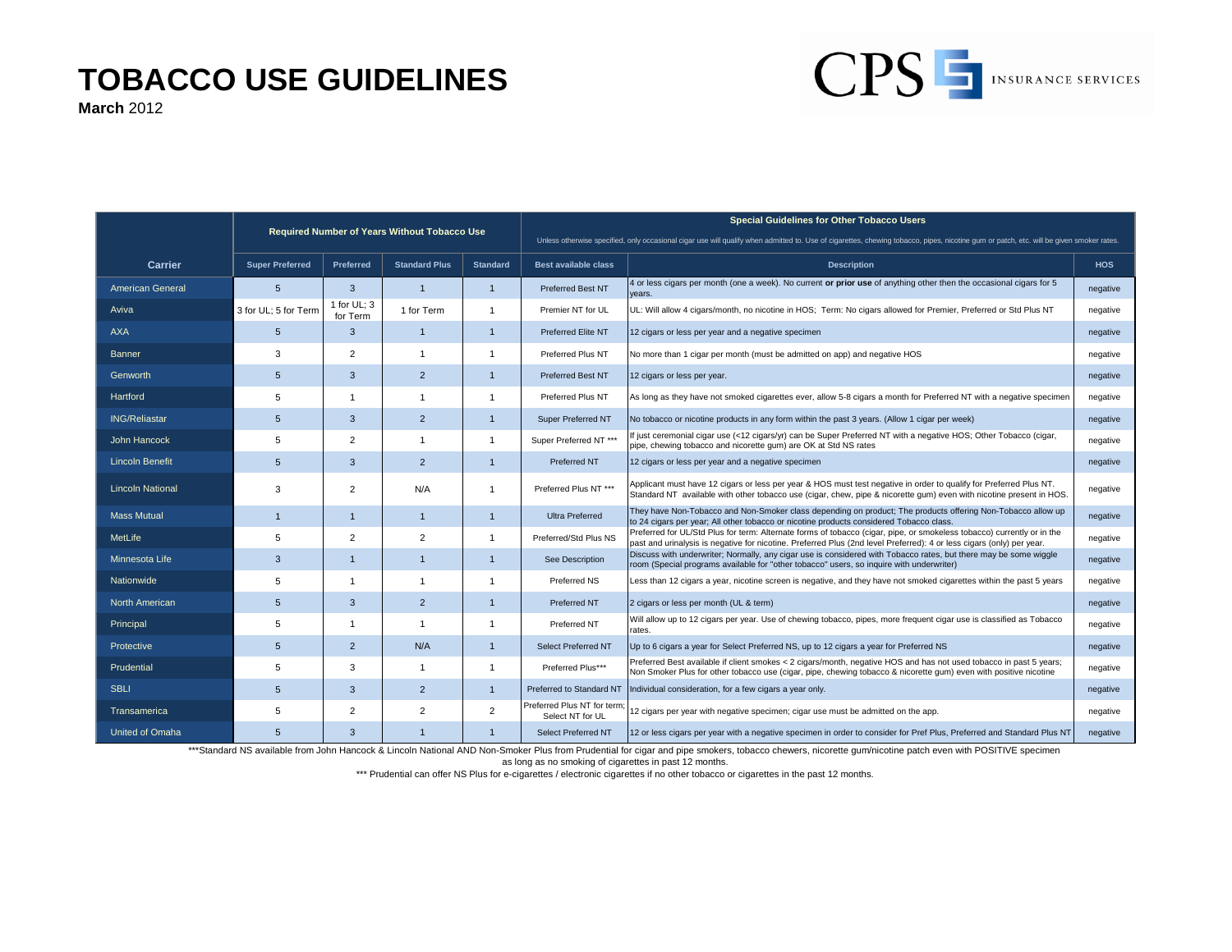## **TOBACCO USE GUIDELINES**

**March** 2012

|                         | Required Number of Years Without Tobacco Use |                         |                      |                 | <b>Special Guidelines for Other Tobacco Users</b><br>Unless otherwise specified, only occasional cigar use will qualify when admitted to. Use of cigarettes, chewing tobacco, pipes, nicotine gum or patch, etc. will be given smoker rates. |                                                                                                                                                                                                                                                 |            |
|-------------------------|----------------------------------------------|-------------------------|----------------------|-----------------|----------------------------------------------------------------------------------------------------------------------------------------------------------------------------------------------------------------------------------------------|-------------------------------------------------------------------------------------------------------------------------------------------------------------------------------------------------------------------------------------------------|------------|
|                         |                                              |                         |                      |                 |                                                                                                                                                                                                                                              |                                                                                                                                                                                                                                                 |            |
| <b>Carrier</b>          | <b>Super Preferred</b>                       | <b>Preferred</b>        | <b>Standard Plus</b> | <b>Standard</b> | Best available class                                                                                                                                                                                                                         | <b>Description</b>                                                                                                                                                                                                                              | <b>HOS</b> |
| <b>American General</b> | 5                                            | 3                       | $\mathbf{1}$         | $\mathbf{1}$    | <b>Preferred Best NT</b>                                                                                                                                                                                                                     | 4 or less cigars per month (one a week). No current or prior use of anything other then the occasional cigars for 5<br>vears.                                                                                                                   | negative   |
| Aviva                   | 3 for UL; 5 for Term                         | 1 for UL; 3<br>for Term | 1 for Term           | $\overline{1}$  | Premier NT for UL                                                                                                                                                                                                                            | UL: Will allow 4 cigars/month, no nicotine in HOS; Term: No cigars allowed for Premier, Preferred or Std Plus NT                                                                                                                                | negative   |
| <b>AXA</b>              | 5                                            | 3                       | $\mathbf{1}$         | $\overline{1}$  | Preferred Elite NT                                                                                                                                                                                                                           | 12 cigars or less per year and a negative specimen                                                                                                                                                                                              | negative   |
| <b>Banner</b>           | 3                                            | $\overline{2}$          | $\overline{1}$       | $\overline{1}$  | Preferred Plus NT                                                                                                                                                                                                                            | No more than 1 cigar per month (must be admitted on app) and negative HOS                                                                                                                                                                       | negative   |
| Genworth                | 5                                            | 3                       | 2                    | $\overline{1}$  | <b>Preferred Best NT</b>                                                                                                                                                                                                                     | 12 cigars or less per year.                                                                                                                                                                                                                     | negative   |
| Hartford                | 5                                            | $\mathbf{1}$            | $\overline{1}$       |                 | Preferred Plus NT                                                                                                                                                                                                                            | As long as they have not smoked cigarettes ever, allow 5-8 cigars a month for Preferred NT with a negative specimen                                                                                                                             | negative   |
| <b>ING/Reliastar</b>    | 5                                            | 3                       | 2                    | $\overline{1}$  | Super Preferred NT                                                                                                                                                                                                                           | No tobacco or nicotine products in any form within the past 3 years. (Allow 1 cigar per week)                                                                                                                                                   | negative   |
| <b>John Hancock</b>     | 5                                            | $\overline{2}$          | $\overline{1}$       | $\overline{1}$  | Super Preferred NT ***                                                                                                                                                                                                                       | f just ceremonial cigar use (<12 cigars/yr) can be Super Preferred NT with a negative HOS; Other Tobacco (cigar,<br>pipe, chewing tobacco and nicorette gum) are OK at Std NS rates                                                             | negative   |
| <b>Lincoln Benefit</b>  | 5                                            | 3                       | $\overline{2}$       | $\overline{1}$  | Preferred NT                                                                                                                                                                                                                                 | 12 cigars or less per year and a negative specimen                                                                                                                                                                                              | negative   |
| <b>Lincoln National</b> | 3                                            | $\overline{2}$          | N/A                  | $\overline{1}$  | Preferred Plus NT ***                                                                                                                                                                                                                        | Applicant must have 12 cigars or less per year & HOS must test negative in order to qualify for Preferred Plus NT.<br>Standard NT available with other tobacco use (cigar, chew, pipe & nicorette gum) even with nicotine present in HOS.       | negative   |
| <b>Mass Mutual</b>      | $\overline{1}$                               | $\mathbf{1}$            | $\mathbf{1}$         | $\overline{1}$  | <b>Ultra Preferred</b>                                                                                                                                                                                                                       | They have Non-Tobacco and Non-Smoker class depending on product; The products offering Non-Tobacco allow up<br>to 24 cigars per year; All other tobacco or nicotine products considered Tobacco class.                                          | negative   |
| MetLife                 | 5                                            | $\overline{2}$          | $\overline{2}$       | $\overline{1}$  | Preferred/Std Plus NS                                                                                                                                                                                                                        | Preferred for UL/Std Plus for term: Alternate forms of tobacco (cigar, pipe, or smokeless tobacco) currently or in the<br>past and urinalysis is negative for nicotine. Preferred Plus (2nd level Preferred): 4 or less cigars (only) per year. | negative   |
| Minnesota Life          | 3                                            | $\mathbf{1}$            | $\mathbf{1}$         | $\overline{1}$  | See Description                                                                                                                                                                                                                              | Discuss with underwriter; Normally, any cigar use is considered with Tobacco rates, but there may be some wiggle<br>room (Special programs available for "other tobacco" users, so inquire with underwriter)                                    | negative   |
| Nationwide              | 5                                            | $\mathbf{1}$            | $\overline{1}$       | $\overline{1}$  | Preferred NS                                                                                                                                                                                                                                 | Less than 12 cigars a year, nicotine screen is negative, and they have not smoked cigarettes within the past 5 years                                                                                                                            | negative   |
| <b>North American</b>   | $5\overline{)}$                              | 3                       | $\overline{2}$       | $\overline{1}$  | <b>Preferred NT</b>                                                                                                                                                                                                                          | 2 cigars or less per month (UL & term)                                                                                                                                                                                                          | negative   |
| Principal               | 5                                            | $\mathbf{1}$            | $\overline{1}$       | $\overline{1}$  | Preferred NT                                                                                                                                                                                                                                 | Will allow up to 12 cigars per year. Use of chewing tobacco, pipes, more frequent cigar use is classified as Tobacco<br>rates.                                                                                                                  | negative   |
| Protective              | 5                                            | $\overline{2}$          | N/A                  | $\overline{1}$  | <b>Select Preferred NT</b>                                                                                                                                                                                                                   | Up to 6 cigars a year for Select Preferred NS, up to 12 cigars a year for Preferred NS                                                                                                                                                          | negative   |
| Prudential              | 5                                            | 3                       | $\overline{1}$       | $\overline{1}$  | Preferred Plus***                                                                                                                                                                                                                            | Preferred Best available if client smokes < 2 cigars/month, negative HOS and has not used tobacco in past 5 years;<br>Non Smoker Plus for other tobacco use (cigar, pipe, chewing tobacco & nicorette gum) even with positive nicotine          | negative   |
| <b>SBLI</b>             | 5                                            | 3                       | $\overline{2}$       | $\overline{1}$  | Preferred to Standard NT                                                                                                                                                                                                                     | Individual consideration, for a few cigars a year only.                                                                                                                                                                                         | negative   |
| <b>Transamerica</b>     | 5                                            | 2                       | 2                    | $\overline{2}$  | Preferred Plus NT for term<br>Select NT for UL                                                                                                                                                                                               | 12 cigars per year with negative specimen; cigar use must be admitted on the app.                                                                                                                                                               | negative   |
| United of Omaha         | 5                                            | 3                       | $\mathbf{1}$         | $\overline{1}$  | Select Preferred NT                                                                                                                                                                                                                          | 12 or less cigars per year with a negative specimen in order to consider for Pref Plus, Preferred and Standard Plus NT                                                                                                                          | negative   |

CPS INSURANCE SERVICES

\*\*\*Standard NS available from John Hancock & Lincoln National AND Non-Smoker Plus from Prudential for cigar and pipe smokers, tobacco chewers, nicorette gum/nicotine patch even with POSITIVE specimen

as long as no smoking of cigarettes in past 12 months.

\*\*\* Prudential can offer NS Plus for e-cigarettes / electronic cigarettes if no other tobacco or cigarettes in the past 12 months.